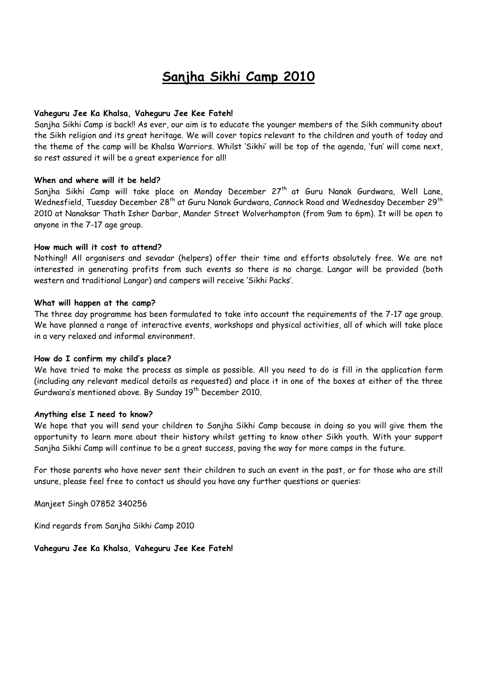# **Sanjha Sikhi Camp 2010**

#### **Vaheguru Jee Ka Khalsa, Vaheguru Jee Kee Fateh!**

Sanjha Sikhi Camp is back!! As ever, our aim is to educate the younger members of the Sikh community about the Sikh religion and its great heritage. We will cover topics relevant to the children and youth of today and the theme of the camp will be Khalsa Warriors. Whilst 'Sikhi' will be top of the agenda, 'fun' will come next, so rest assured it will be a great experience for all!

#### **When and where will it be held?**

Sanjha Sikhi Camp will take place on Monday December 27<sup>th</sup> at Guru Nanak Gurdwara, Well Lane, Wednesfield, Tuesday December 28<sup>th</sup> at Guru Nanak Gurdwara, Cannock Road and Wednesday December 29<sup>th</sup> 2010 at Nanaksar Thath Isher Darbar, Mander Street Wolverhampton (from 9am to 6pm). It will be open to anyone in the 7-17 age group.

#### **How much will it cost to attend?**

Nothing!! All organisers and sevadar (helpers) offer their time and efforts absolutely free. We are not interested in generating profits from such events so there is no charge. Langar will be provided (both western and traditional Langar) and campers will receive 'Sikhi Packs'.

#### **What will happen at the camp?**

The three day programme has been formulated to take into account the requirements of the 7-17 age group. We have planned a range of interactive events, workshops and physical activities, all of which will take place in a very relaxed and informal environment.

#### **How do I confirm my child's place?**

We have tried to make the process as simple as possible. All you need to do is fill in the application form (including any relevant medical details as requested) and place it in one of the boxes at either of the three Gurdwara's mentioned above. By Sunday 19 th December 2010.

#### **Anything else I need to know?**

We hope that you will send your children to Sanjha Sikhi Camp because in doing so you will give them the opportunity to learn more about their history whilst getting to know other Sikh youth. With your support Sanjha Sikhi Camp will continue to be a great success, paving the way for more camps in the future.

For those parents who have never sent their children to such an event in the past, or for those who are still unsure, please feel free to contact us should you have any further questions or queries:

Manjeet Singh 07852 340256

Kind regards from Sanjha Sikhi Camp 2010

**Vaheguru Jee Ka Khalsa, Vaheguru Jee Kee Fateh!**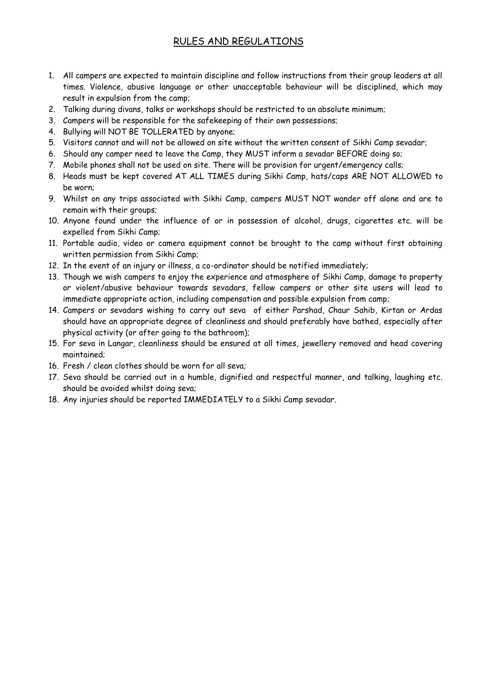## RULES AND REGULATIONS

- 1. All campers are expected to maintain discipline and follow instructions from their group leaders at all times. Violence, abusive language or other unacceptable behaviour will be disciplined, which may result in expulsion from the camp;
- 2. Talking during divans, talks or workshops should be restricted to an absolute minimum;
- 3. Campers will be responsible for the safekeeping of their own possessions;
- 4. Bullying will NOT BE TOLLERATED by anyone;
- 5. Visitors cannot and will not be allowed on site without the written consent of Sikhi Camp sevadar;
- 6. Should any camper need to leave the Camp, they MUST inform a sevadar BEFORE doing so;
- 7. Mobile phones shall not be used on site. There will be provision for urgent/emergency calls;
- 8. Heads must be kept covered AT ALL TIMES during Sikhi Camp, hats/caps ARE NOT ALLOWED to be worn;
- 9. Whilst on any trips associated with Sikhi Camp, campers MUST NOT wander off alone and are to remain with their groups;
- 10. Anyone found under the influence of or in possession of alcohol, drugs, cigarettes etc. will be expelled from Sikhi Camp;
- 11. Portable audio, video or camera equipment cannot be brought to the camp without first obtaining written permission from Sikhi Camp;
- 12. In the event of an injury or illness, a co-ordinator should be notified immediately;
- 13. Though we wish campers to enjoy the experience and atmosphere of Sikhi Camp, damage to property or violent/abusive behaviour towards sevadars, fellow campers or other site users will lead to immediate appropriate action, including compensation and possible expulsion from camp;
- 14. Campers or sevadars wishing to carry out seva of either Parshad, Chaur Sahib, Kirtan or Ardas should have an appropriate degree of cleanliness and should preferably have bathed, especially after physical activity (or after going to the bathroom);
- 15. For seva in Langar, cleanliness should be ensured at all times, jewellery removed and head covering maintained;
- 16. Fresh / clean clothes should be worn for all seva;
- 17. Seva should be carried out in a humble, dignified and respectful manner, and talking, laughing etc. should be avoided whilst doing seva;
- 18. Any injuries should be reported IMMEDIATELY to a Sikhi Camp sevadar.